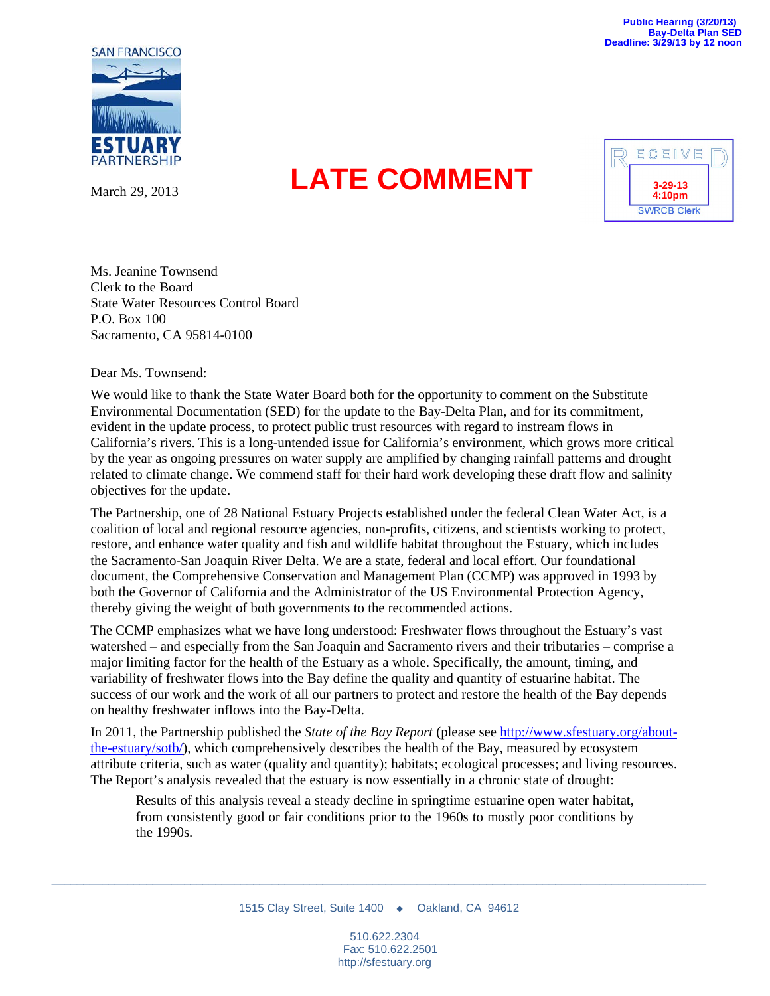

March 29, 2013

## **LATE COMMENT 3-29-13**



Ms. Jeanine Townsend Clerk to the Board State Water Resources Control Board P.O. Box 100 Sacramento, CA 95814-0100

Dear Ms. Townsend:

We would like to thank the State Water Board both for the opportunity to comment on the Substitute Environmental Documentation (SED) for the update to the Bay-Delta Plan, and for its commitment, evident in the update process, to protect public trust resources with regard to instream flows in California's rivers. This is a long-untended issue for California's environment, which grows more critical by the year as ongoing pressures on water supply are amplified by changing rainfall patterns and drought related to climate change. We commend staff for their hard work developing these draft flow and salinity objectives for the update.

The Partnership, one of 28 National Estuary Projects established under the federal Clean Water Act, is a coalition of local and regional resource agencies, non-profits, citizens, and scientists working to protect, restore, and enhance water quality and fish and wildlife habitat throughout the Estuary, which includes the Sacramento-San Joaquin River Delta. We are a state, federal and local effort. Our foundational document, the Comprehensive Conservation and Management Plan (CCMP) was approved in 1993 by both the Governor of California and the Administrator of the US Environmental Protection Agency, thereby giving the weight of both governments to the recommended actions.

The CCMP emphasizes what we have long understood: Freshwater flows throughout the Estuary's vast watershed – and especially from the San Joaquin and Sacramento rivers and their tributaries – comprise a major limiting factor for the health of the Estuary as a whole. Specifically, the amount, timing, and variability of freshwater flows into the Bay define the quality and quantity of estuarine habitat. The success of our work and the work of all our partners to protect and restore the health of the Bay depends on healthy freshwater inflows into the Bay-Delta.

In 2011, the Partnership published the *State of the Bay Report* (please se[e http://www.sfestuary.org/about](http://www.sfestuary.org/about-the-estuary/sotb/)[the-estuary/sotb/\)](http://www.sfestuary.org/about-the-estuary/sotb/), which comprehensively describes the health of the Bay, measured by ecosystem attribute criteria, such as water (quality and quantity); habitats; ecological processes; and living resources. The Report's analysis revealed that the estuary is now essentially in a chronic state of drought:

Results of this analysis reveal a steady decline in springtime estuarine open water habitat, from consistently good or fair conditions prior to the 1960s to mostly poor conditions by the 1990s.

\_\_\_\_\_\_\_\_\_\_\_\_\_\_\_\_\_\_\_\_\_\_\_\_\_\_\_\_\_\_\_\_\_\_\_\_\_\_\_\_\_\_\_\_\_\_\_\_\_\_\_\_\_\_\_\_\_\_\_\_\_\_\_\_\_\_\_\_\_\_\_\_\_\_\_\_\_\_\_\_\_\_\_\_\_\_\_\_\_\_\_\_\_\_\_\_\_\_\_\_\_\_\_\_

510.622.2304 Fax: 510.622.2501 http://sfestuary.org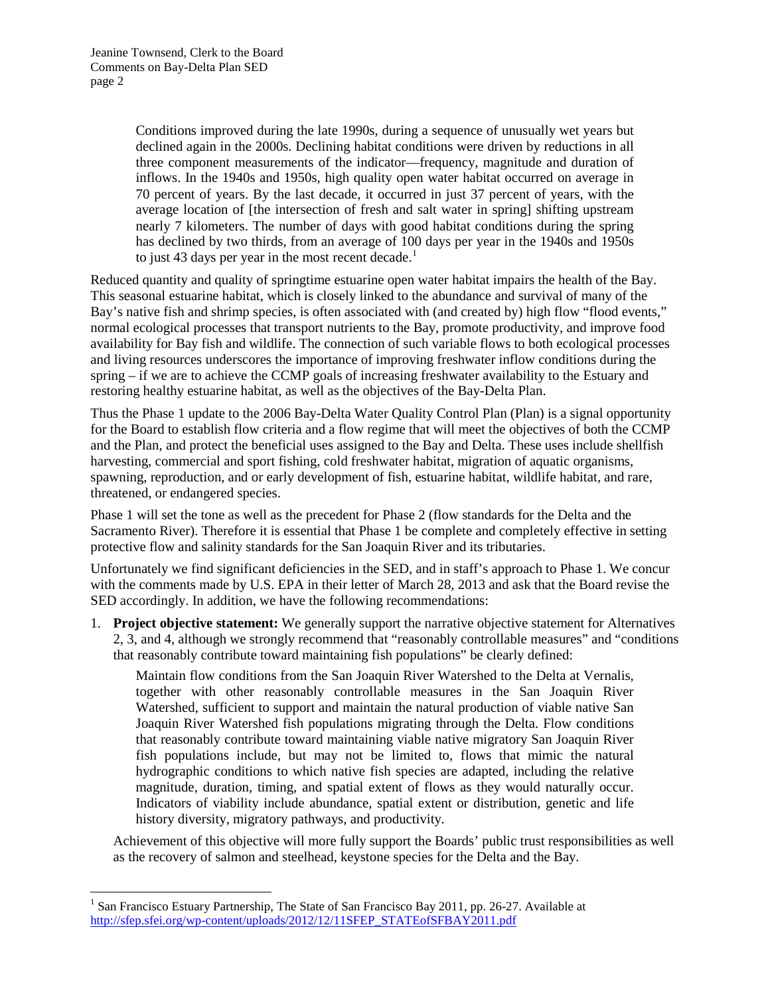Conditions improved during the late 1990s, during a sequence of unusually wet years but declined again in the 2000s. Declining habitat conditions were driven by reductions in all three component measurements of the indicator—frequency, magnitude and duration of inflows. In the 1940s and 1950s, high quality open water habitat occurred on average in 70 percent of years. By the last decade, it occurred in just 37 percent of years, with the average location of [the intersection of fresh and salt water in spring] shifting upstream nearly 7 kilometers. The number of days with good habitat conditions during the spring has declined by two thirds, from an average of 100 days per year in the 1940s and 1950s to just 43 days per year in the most recent decade.<sup>[1](#page-1-0)</sup>

Reduced quantity and quality of springtime estuarine open water habitat impairs the health of the Bay. This seasonal estuarine habitat, which is closely linked to the abundance and survival of many of the Bay's native fish and shrimp species, is often associated with (and created by) high flow "flood events," normal ecological processes that transport nutrients to the Bay, promote productivity, and improve food availability for Bay fish and wildlife. The connection of such variable flows to both ecological processes and living resources underscores the importance of improving freshwater inflow conditions during the spring – if we are to achieve the CCMP goals of increasing freshwater availability to the Estuary and restoring healthy estuarine habitat, as well as the objectives of the Bay-Delta Plan.

Thus the Phase 1 update to the 2006 Bay-Delta Water Quality Control Plan (Plan) is a signal opportunity for the Board to establish flow criteria and a flow regime that will meet the objectives of both the CCMP and the Plan, and protect the beneficial uses assigned to the Bay and Delta. These uses include shellfish harvesting, commercial and sport fishing, cold freshwater habitat, migration of aquatic organisms, spawning, reproduction, and or early development of fish, estuarine habitat, wildlife habitat, and rare, threatened, or endangered species.

Phase 1 will set the tone as well as the precedent for Phase 2 (flow standards for the Delta and the Sacramento River). Therefore it is essential that Phase 1 be complete and completely effective in setting protective flow and salinity standards for the San Joaquin River and its tributaries.

Unfortunately we find significant deficiencies in the SED, and in staff's approach to Phase 1. We concur with the comments made by U.S. EPA in their letter of March 28, 2013 and ask that the Board revise the SED accordingly. In addition, we have the following recommendations:

1. **Project objective statement:** We generally support the narrative objective statement for Alternatives 2, 3, and 4, although we strongly recommend that "reasonably controllable measures" and "conditions that reasonably contribute toward maintaining fish populations" be clearly defined:

Maintain flow conditions from the San Joaquin River Watershed to the Delta at Vernalis, together with other reasonably controllable measures in the San Joaquin River Watershed, sufficient to support and maintain the natural production of viable native San Joaquin River Watershed fish populations migrating through the Delta. Flow conditions that reasonably contribute toward maintaining viable native migratory San Joaquin River fish populations include, but may not be limited to, flows that mimic the natural hydrographic conditions to which native fish species are adapted, including the relative magnitude, duration, timing, and spatial extent of flows as they would naturally occur. Indicators of viability include abundance, spatial extent or distribution, genetic and life history diversity, migratory pathways, and productivity.

Achievement of this objective will more fully support the Boards' public trust responsibilities as well as the recovery of salmon and steelhead, keystone species for the Delta and the Bay.

<span id="page-1-0"></span><sup>&</sup>lt;sup>1</sup> San Francisco Estuary Partnership, The State of San Francisco Bay 2011, pp. 26-27. Available at [http://sfep.sfei.org/wp-content/uploads/2012/12/11SFEP\\_STATEofSFBAY2011.pdf](http://sfep.sfei.org/wp-content/uploads/2012/12/11SFEP_STATEofSFBAY2011.pdf)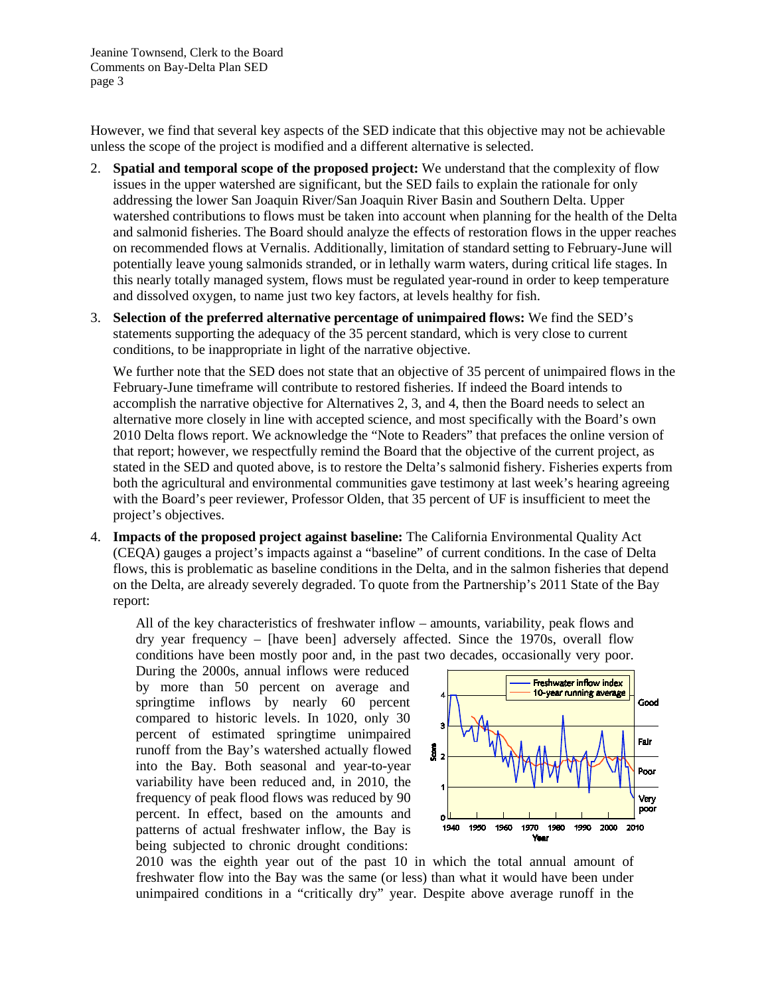However, we find that several key aspects of the SED indicate that this objective may not be achievable unless the scope of the project is modified and a different alternative is selected.

- 2. **Spatial and temporal scope of the proposed project:** We understand that the complexity of flow issues in the upper watershed are significant, but the SED fails to explain the rationale for only addressing the lower San Joaquin River/San Joaquin River Basin and Southern Delta. Upper watershed contributions to flows must be taken into account when planning for the health of the Delta and salmonid fisheries. The Board should analyze the effects of restoration flows in the upper reaches on recommended flows at Vernalis. Additionally, limitation of standard setting to February-June will potentially leave young salmonids stranded, or in lethally warm waters, during critical life stages. In this nearly totally managed system, flows must be regulated year-round in order to keep temperature and dissolved oxygen, to name just two key factors, at levels healthy for fish.
- 3. **Selection of the preferred alternative percentage of unimpaired flows:** We find the SED's statements supporting the adequacy of the 35 percent standard, which is very close to current conditions, to be inappropriate in light of the narrative objective.

We further note that the SED does not state that an objective of 35 percent of unimpaired flows in the February-June timeframe will contribute to restored fisheries. If indeed the Board intends to accomplish the narrative objective for Alternatives 2, 3, and 4, then the Board needs to select an alternative more closely in line with accepted science, and most specifically with the Board's own 2010 Delta flows report. We acknowledge the "Note to Readers" that prefaces the [online version of](http://www.waterboards.ca.gov/waterrights/water_issues/programs/bay_delta/deltaflow/docs/final_rpt080310.pdf)  [that report;](http://www.waterboards.ca.gov/waterrights/water_issues/programs/bay_delta/deltaflow/docs/final_rpt080310.pdf) however, we respectfully remind the Board that the objective of the current project, as stated in the SED and quoted above, is to restore the Delta's salmonid fishery. Fisheries experts from both the agricultural and environmental communities gave testimony at last week's hearing agreeing with the Board's peer reviewer, Professor Olden, that 35 percent of UF is insufficient to meet the project's objectives.

4. **Impacts of the proposed project against baseline:** The California Environmental Quality Act (CEQA) gauges a project's impacts against a "baseline" of current conditions. In the case of Delta flows, this is problematic as baseline conditions in the Delta, and in the salmon fisheries that depend on the Delta, are already severely degraded. To quote from the Partnership's 2011 State of the Bay report:

All of the key characteristics of freshwater inflow – amounts, variability, peak flows and dry year frequency – [have been] adversely affected. Since the 1970s, overall flow conditions have been mostly poor and, in the past two decades, occasionally very poor.

During the 2000s, annual inflows were reduced by more than 50 percent on average and springtime inflows by nearly 60 percent compared to historic levels. In 1020, only 30 percent of estimated springtime unimpaired runoff from the Bay's watershed actually flowed into the Bay. Both seasonal and year-to-year variability have been reduced and, in 2010, the frequency of peak flood flows was reduced by 90 percent. In effect, based on the amounts and patterns of actual freshwater inflow, the Bay is being subjected to chronic drought conditions:



2010 was the eighth year out of the past 10 in which the total annual amount of freshwater flow into the Bay was the same (or less) than what it would have been under unimpaired conditions in a "critically dry" year. Despite above average runoff in the